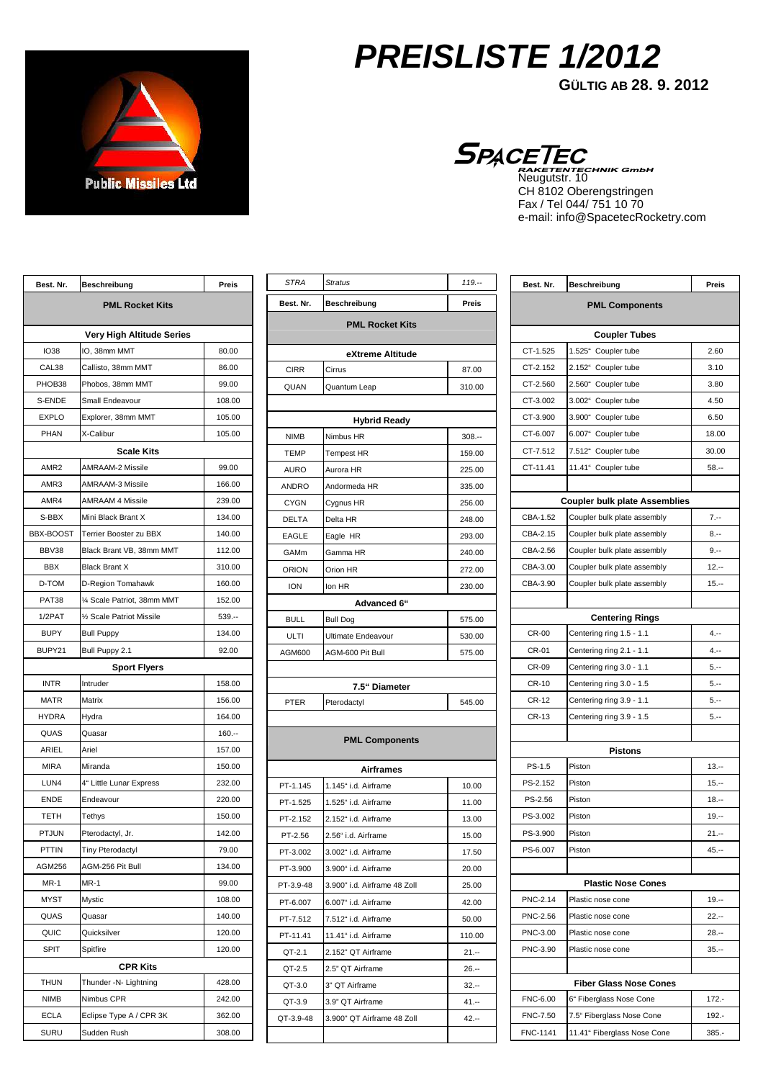

## **PREISLISTE 1/2012**

**GÜLTIG AB 28. 9. 2012** 

Neugutstr. 10 CH 8102 Oberengstringen Fax / Tel 044/ 751 10 70 e-mail: info@SpacetecRocketry.com

| Best. Nr.              | <b>Beschreibung</b>           | Preis    |  |
|------------------------|-------------------------------|----------|--|
| <b>PML Rocket Kits</b> |                               |          |  |
|                        | Very High Altitude Series     |          |  |
| <b>IO38</b>            | IO, 38mm MMT                  | 80.00    |  |
| CAL38                  | Callisto, 38mm MMT            | 86.00    |  |
| PHOB38                 | Phobos, 38mm MMT              | 99.00    |  |
| S-ENDE                 | Small Endeavour               | 108.00   |  |
| <b>EXPLO</b>           | Explorer, 38mm MMT            | 105.00   |  |
| PHAN                   | X-Calibur                     | 105.00   |  |
|                        | <b>Scale Kits</b>             |          |  |
| AMR <sub>2</sub>       | AMRAAM-2 Missile              | 99.00    |  |
| AMR3                   | AMRAAM-3 Missile              | 166.00   |  |
| AMR4                   | <b>AMRAAM 4 Missile</b>       | 239.00   |  |
| S-BBX                  | Mini Black Brant X            | 134.00   |  |
| BBX-BOOST              | <b>Terrier Booster zu BBX</b> | 140.00   |  |
| BBV38                  | Black Brant VB, 38mm MMT      | 112.00   |  |
| <b>BBX</b>             | <b>Black Brant X</b>          | 310.00   |  |
| D-TOM                  | D-Region Tomahawk             | 160.00   |  |
| PAT38                  | 1⁄4 Scale Patriot, 38mm MMT   | 152.00   |  |
| 1/2PAT                 | 1/2 Scale Patriot Missile     | $539. -$ |  |
| <b>BUPY</b>            | <b>Bull Puppy</b>             | 134.00   |  |
| BUPY21                 | Bull Puppy 2.1                | 92.00    |  |
|                        | <b>Sport Flyers</b>           |          |  |
| <b>INTR</b>            | Intruder                      | 158.00   |  |
| <b>MATR</b>            | Matrix                        | 156.00   |  |
| <b>HYDRA</b>           | Hydra                         | 164.00   |  |
| QUAS                   | Quasar                        | $160 -$  |  |
| ARIEL                  | Ariel                         | 157.00   |  |
| <b>MIRA</b>            | Miranda                       | 150.00   |  |
| LUN4                   | 4" Little Lunar Express       | 232.00   |  |
| <b>ENDE</b>            | Endeavour                     | 220.00   |  |
| <b>TETH</b>            | Tethys                        | 150.00   |  |
| <b>PTJUN</b>           | Pterodactyl, Jr.              | 142.00   |  |
| PTTIN                  | Tiny Pterodactyl              | 79.00    |  |
| AGM256                 | AGM-256 Pit Bull              | 134.00   |  |
| MR-1                   | MR-1                          | 99.00    |  |
| <b>MYST</b>            | Mystic                        | 108.00   |  |
| QUAS                   | Quasar                        | 140.00   |  |
| QUIC                   | Quicksilver                   | 120.00   |  |
| <b>SPIT</b>            | Spitfire                      | 120.00   |  |
| <b>CPR Kits</b>        |                               |          |  |
| THUN                   | Thunder -N- Lightning         | 428.00   |  |
| NIMB                   | Nimbus CPR                    | 242.00   |  |
| ECLA                   | Eclipse Type A / CPR 3K       | 362.00   |  |
| SURU                   | Sudden Rush                   | 308.00   |  |

| <b>STRA</b>            | <b>Stratus</b>               | $119. -$ |  |
|------------------------|------------------------------|----------|--|
| Best. Nr.              | Beschreibung                 | Preis    |  |
| <b>PML Rocket Kits</b> |                              |          |  |
|                        | eXtreme Altitude             |          |  |
| <b>CIRR</b>            | Cirrus                       | 87.00    |  |
| QUAN                   | Quantum Leap                 | 310.00   |  |
|                        |                              |          |  |
|                        | <b>Hybrid Ready</b>          |          |  |
| <b>NIMB</b>            | Nimbus HR                    | $308. -$ |  |
| <b>TEMP</b>            | <b>Tempest HR</b>            | 159.00   |  |
| <b>AURO</b>            | Aurora HR                    | 225.00   |  |
| <b>ANDRO</b>           | Andormeda HR                 | 335.00   |  |
| <b>CYGN</b>            | Cygnus HR                    | 256.00   |  |
| <b>DELTA</b>           | Delta HR                     | 248.00   |  |
| <b>EAGLE</b>           | Eagle HR                     | 293.00   |  |
| GAMm                   | Gamma HR                     | 240.00   |  |
| ORION                  | Orion HR                     | 272.00   |  |
| <b>ION</b>             | Ion HR                       | 230.00   |  |
|                        | Advanced 6"                  |          |  |
| <b>BULL</b>            | <b>Bull Dog</b>              | 575.00   |  |
| ULTI                   | <b>Ultimate Endeavour</b>    | 530.00   |  |
| AGM600                 | AGM-600 Pit Bull             | 575.00   |  |
|                        |                              |          |  |
|                        | 7.5" Diameter                |          |  |
| PTER                   | Pterodactyl                  | 545.00   |  |
|                        |                              |          |  |
|                        | <b>PML Components</b>        |          |  |
|                        | <b>Airframes</b>             |          |  |
| PT-1.145               | 1.145" i.d. Airframe         | 10.00    |  |
| PT-1.525               | 1.525" i.d. Airframe         | 11.00    |  |
| PT-2.152               | 2.152" i.d. Airframe         | 13.00    |  |
| PT-2.56                | 2.56" i.d. Airframe          | 15.00    |  |
| PT-3.002               | 3.002" i.d. Airframe         | 17.50    |  |
| PT-3.900               | 3.900" i.d. Airframe         | 20.00    |  |
| PT-3.9-48              | 3.900" i.d. Airframe 48 Zoll | 25.00    |  |
| PT-6.007               | 6.007" i.d. Airframe         | 42.00    |  |
| PT-7.512               | 7.512" i.d. Airframe         | 50.00    |  |
| PT-11.41               | 11.41" i.d. Airframe         | 110.00   |  |
| QT-2.1                 | 2.152" QT Airframe           | 21.--    |  |
| QT-2.5                 | 2.5" QT Airframe             | 26.--    |  |
| QT-3.0                 | 3" QT Airframe               | $32 -$   |  |
| QT-3.9                 | 3.9" QT Airframe             | 41.--    |  |
| QT-3.9-48              | 3.900" QT Airframe 48 Zoll   | 42.--    |  |
|                        |                              |          |  |

| <b>PML Components</b><br><b>Coupler Tubes</b><br>1.525" Coupler tube<br>CT-1.525<br>2.60<br>2.152" Coupler tube<br>CT-2.152<br>3.10<br>CT-2.560<br>2.560" Coupler tube<br>3.80<br>CT-3.002<br>3.002" Coupler tube<br>4.50<br>CT-3.900<br>3.900" Coupler tube<br>6.50<br>CT-6.007<br>6.007" Coupler tube<br>18.00<br>7.512" Coupler tube<br>CT-7.512<br>30.00<br>11.41" Coupler tube<br>CT-11.41<br>$58. -$<br><b>Coupler bulk plate Assemblies</b><br>CBA-1.52<br>Coupler bulk plate assembly<br>7.--<br>CBA-2.15<br>Coupler bulk plate assembly<br>8.--<br>CBA-2.56<br>Coupler bulk plate assembly<br>$9. - -$<br>CBA-3.00<br>Coupler bulk plate assembly<br>$12. -$<br>CBA-3.90<br>Coupler bulk plate assembly<br>$15. -$<br><b>Centering Rings</b><br><b>CR-00</b><br>Centering ring 1.5 - 1.1<br>$4. - -$<br>$4. - -$<br>CR-01<br>Centering ring 2.1 - 1.1<br>Centering ring 3.0 - 1.1<br>CR-09<br>5.--<br>CR-10<br>Centering ring 3.0 - 1.5<br>$5. -$<br>Centering ring 3.9 - 1.1<br>CR-12<br>5.--<br>CR-13<br>Centering ring 3.9 - 1.5<br>$5. -$<br>Pistons<br>Piston<br>PS-1.5<br>$13. -$<br>PS-2.152<br>Piston<br>$15. -$<br>PS-2.56<br>Piston<br>$18. -$<br>PS-3.002<br>Piston<br>$19. -$<br>PS-3.900<br>Piston<br>$21 -$<br>PS-6.007<br>$45. -$<br>Piston<br><b>Plastic Nose Cones</b><br>PNC-2.14<br>Plastic nose cone<br>$19. -$<br>PNC-2.56<br>Plastic nose cone<br>22.--<br>PNC-3.00<br>Plastic nose cone<br>28.--<br>PNC-3.90<br>Plastic nose cone<br>35.--<br><b>Fiber Glass Nose Cones</b><br>FNC-6.00<br>6" Fiberglass Nose Cone<br>$172. -$<br>FNC-7.50<br>192.- | Best. Nr. | <b>Beschreibung</b>       | Preis |
|-------------------------------------------------------------------------------------------------------------------------------------------------------------------------------------------------------------------------------------------------------------------------------------------------------------------------------------------------------------------------------------------------------------------------------------------------------------------------------------------------------------------------------------------------------------------------------------------------------------------------------------------------------------------------------------------------------------------------------------------------------------------------------------------------------------------------------------------------------------------------------------------------------------------------------------------------------------------------------------------------------------------------------------------------------------------------------------------------------------------------------------------------------------------------------------------------------------------------------------------------------------------------------------------------------------------------------------------------------------------------------------------------------------------------------------------------------------------------------------------------------------------------------------------------------------------------------------|-----------|---------------------------|-------|
|                                                                                                                                                                                                                                                                                                                                                                                                                                                                                                                                                                                                                                                                                                                                                                                                                                                                                                                                                                                                                                                                                                                                                                                                                                                                                                                                                                                                                                                                                                                                                                                     |           |                           |       |
|                                                                                                                                                                                                                                                                                                                                                                                                                                                                                                                                                                                                                                                                                                                                                                                                                                                                                                                                                                                                                                                                                                                                                                                                                                                                                                                                                                                                                                                                                                                                                                                     |           |                           |       |
|                                                                                                                                                                                                                                                                                                                                                                                                                                                                                                                                                                                                                                                                                                                                                                                                                                                                                                                                                                                                                                                                                                                                                                                                                                                                                                                                                                                                                                                                                                                                                                                     |           |                           |       |
|                                                                                                                                                                                                                                                                                                                                                                                                                                                                                                                                                                                                                                                                                                                                                                                                                                                                                                                                                                                                                                                                                                                                                                                                                                                                                                                                                                                                                                                                                                                                                                                     |           |                           |       |
|                                                                                                                                                                                                                                                                                                                                                                                                                                                                                                                                                                                                                                                                                                                                                                                                                                                                                                                                                                                                                                                                                                                                                                                                                                                                                                                                                                                                                                                                                                                                                                                     |           |                           |       |
|                                                                                                                                                                                                                                                                                                                                                                                                                                                                                                                                                                                                                                                                                                                                                                                                                                                                                                                                                                                                                                                                                                                                                                                                                                                                                                                                                                                                                                                                                                                                                                                     |           |                           |       |
|                                                                                                                                                                                                                                                                                                                                                                                                                                                                                                                                                                                                                                                                                                                                                                                                                                                                                                                                                                                                                                                                                                                                                                                                                                                                                                                                                                                                                                                                                                                                                                                     |           |                           |       |
|                                                                                                                                                                                                                                                                                                                                                                                                                                                                                                                                                                                                                                                                                                                                                                                                                                                                                                                                                                                                                                                                                                                                                                                                                                                                                                                                                                                                                                                                                                                                                                                     |           |                           |       |
|                                                                                                                                                                                                                                                                                                                                                                                                                                                                                                                                                                                                                                                                                                                                                                                                                                                                                                                                                                                                                                                                                                                                                                                                                                                                                                                                                                                                                                                                                                                                                                                     |           |                           |       |
|                                                                                                                                                                                                                                                                                                                                                                                                                                                                                                                                                                                                                                                                                                                                                                                                                                                                                                                                                                                                                                                                                                                                                                                                                                                                                                                                                                                                                                                                                                                                                                                     |           |                           |       |
|                                                                                                                                                                                                                                                                                                                                                                                                                                                                                                                                                                                                                                                                                                                                                                                                                                                                                                                                                                                                                                                                                                                                                                                                                                                                                                                                                                                                                                                                                                                                                                                     |           |                           |       |
|                                                                                                                                                                                                                                                                                                                                                                                                                                                                                                                                                                                                                                                                                                                                                                                                                                                                                                                                                                                                                                                                                                                                                                                                                                                                                                                                                                                                                                                                                                                                                                                     |           |                           |       |
|                                                                                                                                                                                                                                                                                                                                                                                                                                                                                                                                                                                                                                                                                                                                                                                                                                                                                                                                                                                                                                                                                                                                                                                                                                                                                                                                                                                                                                                                                                                                                                                     |           |                           |       |
|                                                                                                                                                                                                                                                                                                                                                                                                                                                                                                                                                                                                                                                                                                                                                                                                                                                                                                                                                                                                                                                                                                                                                                                                                                                                                                                                                                                                                                                                                                                                                                                     |           |                           |       |
|                                                                                                                                                                                                                                                                                                                                                                                                                                                                                                                                                                                                                                                                                                                                                                                                                                                                                                                                                                                                                                                                                                                                                                                                                                                                                                                                                                                                                                                                                                                                                                                     |           |                           |       |
|                                                                                                                                                                                                                                                                                                                                                                                                                                                                                                                                                                                                                                                                                                                                                                                                                                                                                                                                                                                                                                                                                                                                                                                                                                                                                                                                                                                                                                                                                                                                                                                     |           |                           |       |
|                                                                                                                                                                                                                                                                                                                                                                                                                                                                                                                                                                                                                                                                                                                                                                                                                                                                                                                                                                                                                                                                                                                                                                                                                                                                                                                                                                                                                                                                                                                                                                                     |           |                           |       |
|                                                                                                                                                                                                                                                                                                                                                                                                                                                                                                                                                                                                                                                                                                                                                                                                                                                                                                                                                                                                                                                                                                                                                                                                                                                                                                                                                                                                                                                                                                                                                                                     |           |                           |       |
|                                                                                                                                                                                                                                                                                                                                                                                                                                                                                                                                                                                                                                                                                                                                                                                                                                                                                                                                                                                                                                                                                                                                                                                                                                                                                                                                                                                                                                                                                                                                                                                     |           |                           |       |
|                                                                                                                                                                                                                                                                                                                                                                                                                                                                                                                                                                                                                                                                                                                                                                                                                                                                                                                                                                                                                                                                                                                                                                                                                                                                                                                                                                                                                                                                                                                                                                                     |           |                           |       |
|                                                                                                                                                                                                                                                                                                                                                                                                                                                                                                                                                                                                                                                                                                                                                                                                                                                                                                                                                                                                                                                                                                                                                                                                                                                                                                                                                                                                                                                                                                                                                                                     |           |                           |       |
|                                                                                                                                                                                                                                                                                                                                                                                                                                                                                                                                                                                                                                                                                                                                                                                                                                                                                                                                                                                                                                                                                                                                                                                                                                                                                                                                                                                                                                                                                                                                                                                     |           |                           |       |
|                                                                                                                                                                                                                                                                                                                                                                                                                                                                                                                                                                                                                                                                                                                                                                                                                                                                                                                                                                                                                                                                                                                                                                                                                                                                                                                                                                                                                                                                                                                                                                                     |           |                           |       |
|                                                                                                                                                                                                                                                                                                                                                                                                                                                                                                                                                                                                                                                                                                                                                                                                                                                                                                                                                                                                                                                                                                                                                                                                                                                                                                                                                                                                                                                                                                                                                                                     |           |                           |       |
|                                                                                                                                                                                                                                                                                                                                                                                                                                                                                                                                                                                                                                                                                                                                                                                                                                                                                                                                                                                                                                                                                                                                                                                                                                                                                                                                                                                                                                                                                                                                                                                     |           |                           |       |
|                                                                                                                                                                                                                                                                                                                                                                                                                                                                                                                                                                                                                                                                                                                                                                                                                                                                                                                                                                                                                                                                                                                                                                                                                                                                                                                                                                                                                                                                                                                                                                                     |           |                           |       |
|                                                                                                                                                                                                                                                                                                                                                                                                                                                                                                                                                                                                                                                                                                                                                                                                                                                                                                                                                                                                                                                                                                                                                                                                                                                                                                                                                                                                                                                                                                                                                                                     |           |                           |       |
|                                                                                                                                                                                                                                                                                                                                                                                                                                                                                                                                                                                                                                                                                                                                                                                                                                                                                                                                                                                                                                                                                                                                                                                                                                                                                                                                                                                                                                                                                                                                                                                     |           |                           |       |
|                                                                                                                                                                                                                                                                                                                                                                                                                                                                                                                                                                                                                                                                                                                                                                                                                                                                                                                                                                                                                                                                                                                                                                                                                                                                                                                                                                                                                                                                                                                                                                                     |           |                           |       |
|                                                                                                                                                                                                                                                                                                                                                                                                                                                                                                                                                                                                                                                                                                                                                                                                                                                                                                                                                                                                                                                                                                                                                                                                                                                                                                                                                                                                                                                                                                                                                                                     |           |                           |       |
|                                                                                                                                                                                                                                                                                                                                                                                                                                                                                                                                                                                                                                                                                                                                                                                                                                                                                                                                                                                                                                                                                                                                                                                                                                                                                                                                                                                                                                                                                                                                                                                     |           |                           |       |
|                                                                                                                                                                                                                                                                                                                                                                                                                                                                                                                                                                                                                                                                                                                                                                                                                                                                                                                                                                                                                                                                                                                                                                                                                                                                                                                                                                                                                                                                                                                                                                                     |           |                           |       |
|                                                                                                                                                                                                                                                                                                                                                                                                                                                                                                                                                                                                                                                                                                                                                                                                                                                                                                                                                                                                                                                                                                                                                                                                                                                                                                                                                                                                                                                                                                                                                                                     |           |                           |       |
|                                                                                                                                                                                                                                                                                                                                                                                                                                                                                                                                                                                                                                                                                                                                                                                                                                                                                                                                                                                                                                                                                                                                                                                                                                                                                                                                                                                                                                                                                                                                                                                     |           |                           |       |
|                                                                                                                                                                                                                                                                                                                                                                                                                                                                                                                                                                                                                                                                                                                                                                                                                                                                                                                                                                                                                                                                                                                                                                                                                                                                                                                                                                                                                                                                                                                                                                                     |           |                           |       |
|                                                                                                                                                                                                                                                                                                                                                                                                                                                                                                                                                                                                                                                                                                                                                                                                                                                                                                                                                                                                                                                                                                                                                                                                                                                                                                                                                                                                                                                                                                                                                                                     |           |                           |       |
|                                                                                                                                                                                                                                                                                                                                                                                                                                                                                                                                                                                                                                                                                                                                                                                                                                                                                                                                                                                                                                                                                                                                                                                                                                                                                                                                                                                                                                                                                                                                                                                     |           |                           |       |
|                                                                                                                                                                                                                                                                                                                                                                                                                                                                                                                                                                                                                                                                                                                                                                                                                                                                                                                                                                                                                                                                                                                                                                                                                                                                                                                                                                                                                                                                                                                                                                                     |           |                           |       |
|                                                                                                                                                                                                                                                                                                                                                                                                                                                                                                                                                                                                                                                                                                                                                                                                                                                                                                                                                                                                                                                                                                                                                                                                                                                                                                                                                                                                                                                                                                                                                                                     |           |                           |       |
|                                                                                                                                                                                                                                                                                                                                                                                                                                                                                                                                                                                                                                                                                                                                                                                                                                                                                                                                                                                                                                                                                                                                                                                                                                                                                                                                                                                                                                                                                                                                                                                     |           |                           |       |
|                                                                                                                                                                                                                                                                                                                                                                                                                                                                                                                                                                                                                                                                                                                                                                                                                                                                                                                                                                                                                                                                                                                                                                                                                                                                                                                                                                                                                                                                                                                                                                                     |           |                           |       |
|                                                                                                                                                                                                                                                                                                                                                                                                                                                                                                                                                                                                                                                                                                                                                                                                                                                                                                                                                                                                                                                                                                                                                                                                                                                                                                                                                                                                                                                                                                                                                                                     |           | 7.5" Fiberglass Nose Cone |       |
| FNC-1141<br>11.41" Fiberglass Nose Cone<br>$385. -$                                                                                                                                                                                                                                                                                                                                                                                                                                                                                                                                                                                                                                                                                                                                                                                                                                                                                                                                                                                                                                                                                                                                                                                                                                                                                                                                                                                                                                                                                                                                 |           |                           |       |